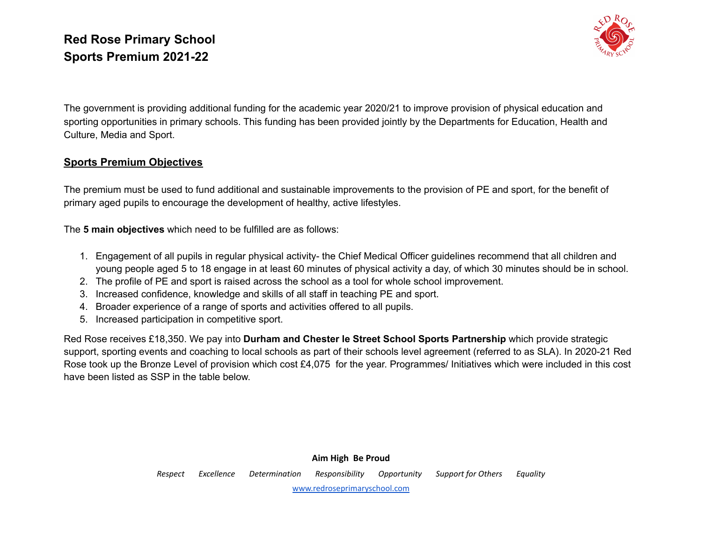

The government is providing additional funding for the academic year 2020/21 to improve provision of physical education and sporting opportunities in primary schools. This funding has been provided jointly by the Departments for Education, Health and Culture, Media and Sport.

#### **Sports Premium Objectives**

The premium must be used to fund additional and sustainable improvements to the provision of PE and sport, for the benefit of primary aged pupils to encourage the development of healthy, active lifestyles.

The **5 main objectives** which need to be fulfilled are as follows:

- 1. Engagement of all pupils in regular physical activity- the Chief Medical Officer guidelines recommend that all children and young people aged 5 to 18 engage in at least 60 minutes of physical activity a day, of which 30 minutes should be in school.
- 2. The profile of PE and sport is raised across the school as a tool for whole school improvement.
- 3. Increased confidence, knowledge and skills of all staff in teaching PE and sport.
- 4. Broader experience of a range of sports and activities offered to all pupils.
- 5. Increased participation in competitive sport.

Red Rose receives £18,350. We pay into **Durham and Chester le Street School Sports Partnership** which provide strategic support, sporting events and coaching to local schools as part of their schools level agreement (referred to as SLA). In 2020-21 Red Rose took up the Bronze Level of provision which cost £4,075 for the year. Programmes/ Initiatives which were included in this cost have been listed as SSP in the table below.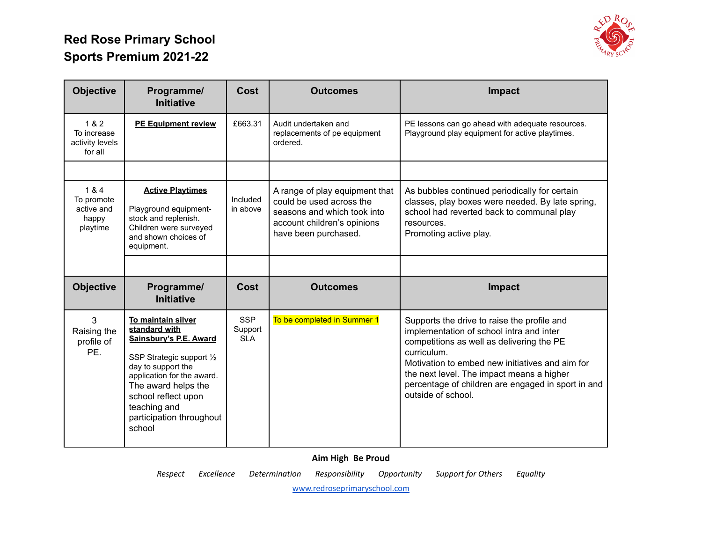

| <b>Objective</b>                                       | Programme/<br><b>Initiative</b>                                                                                                                                                                                                                    | Cost                                | <b>Outcomes</b>                                                                                                                                  | Impact                                                                                                                                                                                                                                                                                                                          |
|--------------------------------------------------------|----------------------------------------------------------------------------------------------------------------------------------------------------------------------------------------------------------------------------------------------------|-------------------------------------|--------------------------------------------------------------------------------------------------------------------------------------------------|---------------------------------------------------------------------------------------------------------------------------------------------------------------------------------------------------------------------------------------------------------------------------------------------------------------------------------|
| 1 & 2<br>To increase<br>activity levels<br>for all     | <b>PE Equipment review</b>                                                                                                                                                                                                                         | £663.31                             | Audit undertaken and<br>replacements of pe equipment<br>ordered.                                                                                 | PE lessons can go ahead with adequate resources.<br>Playground play equipment for active playtimes.                                                                                                                                                                                                                             |
|                                                        |                                                                                                                                                                                                                                                    |                                     |                                                                                                                                                  |                                                                                                                                                                                                                                                                                                                                 |
| 1 & 4<br>To promote<br>active and<br>happy<br>playtime | <b>Active Playtimes</b><br>Playground equipment-<br>stock and replenish.<br>Children were surveyed<br>and shown choices of<br>equipment.                                                                                                           | Included<br>in above                | A range of play equipment that<br>could be used across the<br>seasons and which took into<br>account children's opinions<br>have been purchased. | As bubbles continued periodically for certain<br>classes, play boxes were needed. By late spring,<br>school had reverted back to communal play<br>resources.<br>Promoting active play.                                                                                                                                          |
|                                                        |                                                                                                                                                                                                                                                    |                                     |                                                                                                                                                  |                                                                                                                                                                                                                                                                                                                                 |
| <b>Objective</b>                                       | Programme/<br><b>Initiative</b>                                                                                                                                                                                                                    | Cost                                | <b>Outcomes</b>                                                                                                                                  | Impact                                                                                                                                                                                                                                                                                                                          |
| 3<br>Raising the<br>profile of<br>PE.                  | To maintain silver<br>standard with<br>Sainsbury's P.E. Award<br>SSP Strategic support 1/2<br>day to support the<br>application for the award.<br>The award helps the<br>school reflect upon<br>teaching and<br>participation throughout<br>school | <b>SSP</b><br>Support<br><b>SLA</b> | To be completed in Summer 1                                                                                                                      | Supports the drive to raise the profile and<br>implementation of school intra and inter<br>competitions as well as delivering the PE<br>curriculum.<br>Motivation to embed new initiatives and aim for<br>the next level. The impact means a higher<br>percentage of children are engaged in sport in and<br>outside of school. |

**Aim High Be Proud**

*Respect Excellence Determination Responsibility Opportunity Support for Others Equality*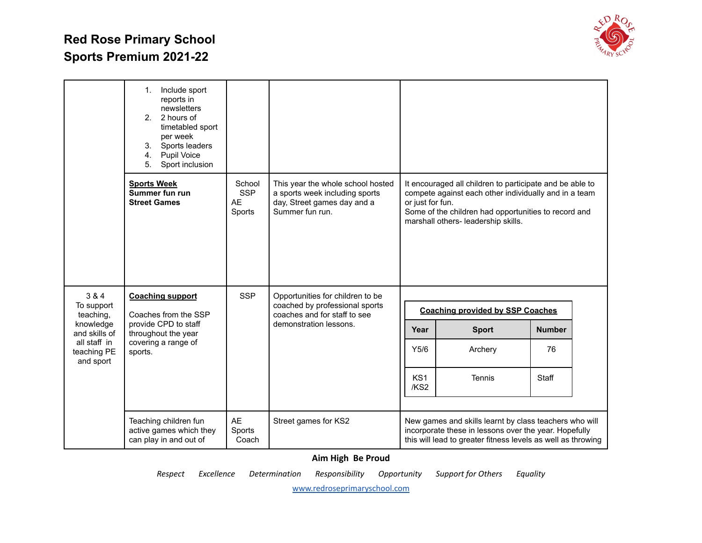

|                                  | Include sport<br>1.<br>reports in<br>newsletters<br>2. 2 hours of<br>timetabled sport<br>per week<br>3.<br>Sports leaders<br>4.<br>Pupil Voice<br>Sport inclusion<br>5 <sub>1</sub> |                                             |                                                                                                                              |                         |                                                                                                                                                                                                                  |               |  |
|----------------------------------|-------------------------------------------------------------------------------------------------------------------------------------------------------------------------------------|---------------------------------------------|------------------------------------------------------------------------------------------------------------------------------|-------------------------|------------------------------------------------------------------------------------------------------------------------------------------------------------------------------------------------------------------|---------------|--|
|                                  | <b>Sports Week</b><br>Summer fun run<br><b>Street Games</b>                                                                                                                         | School<br><b>SSP</b><br><b>AE</b><br>Sports | This year the whole school hosted<br>a sports week including sports<br>day, Street games day and a<br>Summer fun run.        | or just for fun.        | It encouraged all children to participate and be able to<br>compete against each other individually and in a team<br>Some of the children had opportunities to record and<br>marshall others- leadership skills. |               |  |
| 3 & 4<br>To support<br>teaching, | <b>Coaching support</b><br>Coaches from the SSP                                                                                                                                     | <b>SSP</b>                                  | Opportunities for children to be<br>coached by professional sports<br>coaches and for staff to see<br>demonstration lessons. |                         | <b>Coaching provided by SSP Coaches</b>                                                                                                                                                                          |               |  |
| knowledge<br>and skills of       | provide CPD to staff<br>throughout the year<br>all staff in<br>covering a range of<br>teaching PE<br>sports.<br>and sport                                                           |                                             |                                                                                                                              | Year                    | <b>Sport</b>                                                                                                                                                                                                     | <b>Number</b> |  |
|                                  |                                                                                                                                                                                     |                                             |                                                                                                                              | Y5/6                    | Archery                                                                                                                                                                                                          | 76            |  |
|                                  |                                                                                                                                                                                     |                                             |                                                                                                                              | KS <sub>1</sub><br>/KS2 | Tennis                                                                                                                                                                                                           | Staff         |  |
|                                  | Teaching children fun<br>active games which they<br>can play in and out of                                                                                                          | AE<br>Sports<br>Coach                       | Street games for KS2                                                                                                         |                         | New games and skills learnt by class teachers who will<br>incorporate these in lessons over the year. Hopefully<br>this will lead to greater fitness levels as well as throwing                                  |               |  |

#### **Aim High Be Proud**

*Respect Excellence Determination Responsibility Opportunity Support for Others Equality*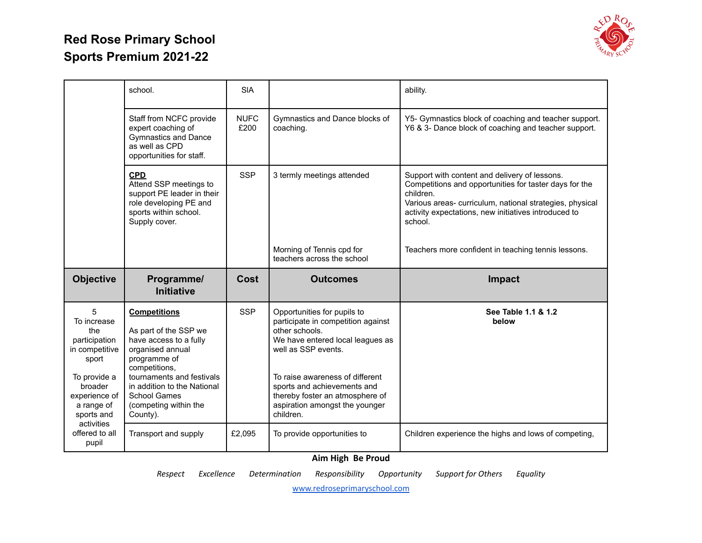

|                                                                                                                                                           | school.                                                                                                                                                                                                                                             | <b>SIA</b>          |                                                                                                                                                                                                                                                                                                    | ability.                                                                                                                                                                                                                                            |
|-----------------------------------------------------------------------------------------------------------------------------------------------------------|-----------------------------------------------------------------------------------------------------------------------------------------------------------------------------------------------------------------------------------------------------|---------------------|----------------------------------------------------------------------------------------------------------------------------------------------------------------------------------------------------------------------------------------------------------------------------------------------------|-----------------------------------------------------------------------------------------------------------------------------------------------------------------------------------------------------------------------------------------------------|
|                                                                                                                                                           | Staff from NCFC provide<br>expert coaching of<br><b>Gymnastics and Dance</b><br>as well as CPD<br>opportunities for staff.                                                                                                                          | <b>NUFC</b><br>£200 | Gymnastics and Dance blocks of<br>coaching.                                                                                                                                                                                                                                                        | Y5- Gymnastics block of coaching and teacher support.<br>Y6 & 3- Dance block of coaching and teacher support.                                                                                                                                       |
|                                                                                                                                                           | <b>CPD</b><br>Attend SSP meetings to<br>support PE leader in their<br>role developing PE and<br>sports within school.<br>Supply cover.                                                                                                              | <b>SSP</b>          | 3 termly meetings attended                                                                                                                                                                                                                                                                         | Support with content and delivery of lessons.<br>Competitions and opportunities for taster days for the<br>children.<br>Various areas- curriculum, national strategies, physical<br>activity expectations, new initiatives introduced to<br>school. |
|                                                                                                                                                           |                                                                                                                                                                                                                                                     |                     | Morning of Tennis cpd for<br>teachers across the school                                                                                                                                                                                                                                            | Teachers more confident in teaching tennis lessons.                                                                                                                                                                                                 |
| <b>Objective</b>                                                                                                                                          | Programme/<br><b>Initiative</b>                                                                                                                                                                                                                     | Cost                | <b>Outcomes</b>                                                                                                                                                                                                                                                                                    | Impact                                                                                                                                                                                                                                              |
| 5<br>To increase<br>the<br>participation<br>in competitive<br>sport<br>To provide a<br>broader<br>experience of<br>a range of<br>sports and<br>activities | <b>Competitions</b><br>As part of the SSP we<br>have access to a fully<br>organised annual<br>programme of<br>competitions,<br>tournaments and festivals<br>in addition to the National<br><b>School Games</b><br>(competing within the<br>County). | <b>SSP</b>          | Opportunities for pupils to<br>participate in competition against<br>other schools.<br>We have entered local leagues as<br>well as SSP events.<br>To raise awareness of different<br>sports and achievements and<br>thereby foster an atmosphere of<br>aspiration amongst the younger<br>children. | See Table 1.1 & 1.2<br>below                                                                                                                                                                                                                        |
| offered to all<br>pupil                                                                                                                                   | Transport and supply                                                                                                                                                                                                                                | £2,095              | To provide opportunities to                                                                                                                                                                                                                                                                        | Children experience the highs and lows of competing,                                                                                                                                                                                                |

#### **Aim High Be Proud**

*Respect Excellence Determination Responsibility Opportunity Support for Others Equality*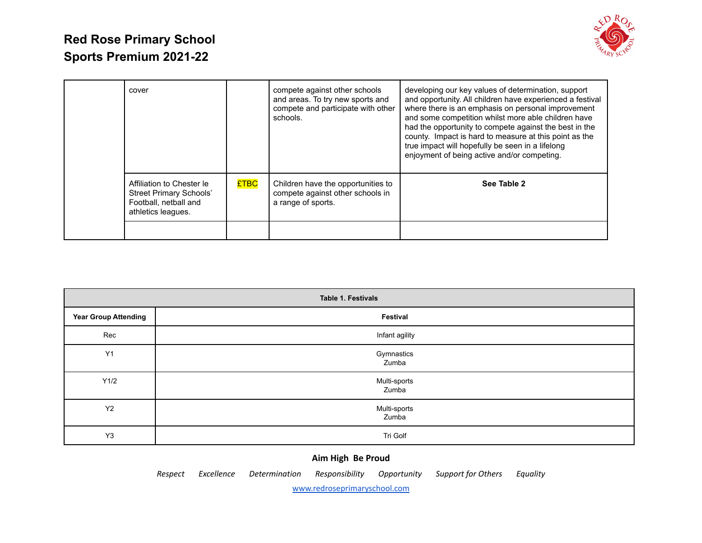

| cover                                                                                                      |             | compete against other schools<br>and areas. To try new sports and<br>compete and participate with other<br>schools. | developing our key values of determination, support<br>and opportunity. All children have experienced a festival<br>where there is an emphasis on personal improvement<br>and some competition whilst more able children have<br>had the opportunity to compete against the best in the<br>county. Impact is hard to measure at this point as the<br>true impact will hopefully be seen in a lifelong<br>enjoyment of being active and/or competing. |
|------------------------------------------------------------------------------------------------------------|-------------|---------------------------------------------------------------------------------------------------------------------|------------------------------------------------------------------------------------------------------------------------------------------------------------------------------------------------------------------------------------------------------------------------------------------------------------------------------------------------------------------------------------------------------------------------------------------------------|
| Affiliation to Chester le<br><b>Street Primary Schools'</b><br>Football, netball and<br>athletics leagues. | <b>£TBC</b> | Children have the opportunities to<br>compete against other schools in<br>a range of sports.                        | See Table 2                                                                                                                                                                                                                                                                                                                                                                                                                                          |

| Table 1. Festivals          |                       |  |  |  |  |  |  |
|-----------------------------|-----------------------|--|--|--|--|--|--|
| <b>Year Group Attending</b> | Festival              |  |  |  |  |  |  |
| Rec                         | Infant agility        |  |  |  |  |  |  |
| Y1                          | Gymnastics<br>Zumba   |  |  |  |  |  |  |
| Y1/2                        | Multi-sports<br>Zumba |  |  |  |  |  |  |
| <b>Y2</b>                   | Multi-sports<br>Zumba |  |  |  |  |  |  |
| Y <sub>3</sub>              | Tri Golf              |  |  |  |  |  |  |

#### **Aim High Be Proud**

*Respect Excellence Determination Responsibility Opportunity Support for Others Equality*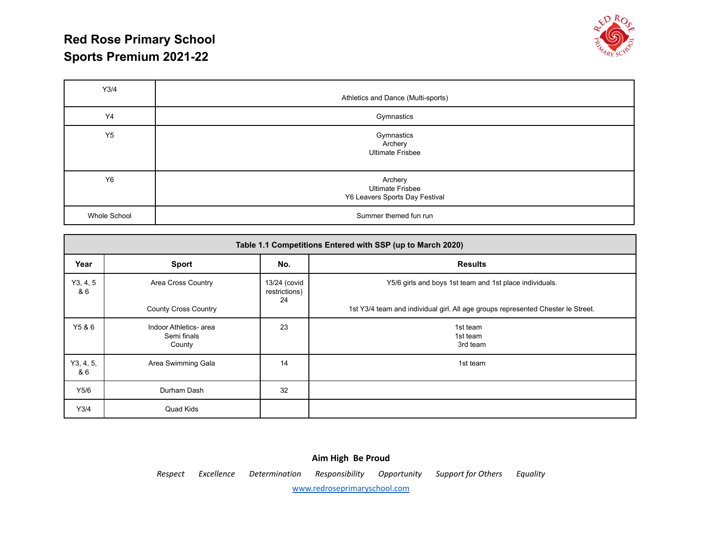

| Y3/4         | Athletics and Dance (Multi-sports)                                   |
|--------------|----------------------------------------------------------------------|
| Y4           | Gymnastics                                                           |
| Y5           | Gymnastics<br>Archery<br><b>Ultimate Frisbee</b>                     |
| Y6           | Archery<br><b>Ultimate Frisbee</b><br>Y6 Leavers Sports Day Festival |
| Whole School | Summer themed fun run                                                |

| Table 1.1 Competitions Entered with SSP (up to March 2020) |                                                 |                                     |                                                                                  |  |  |  |  |
|------------------------------------------------------------|-------------------------------------------------|-------------------------------------|----------------------------------------------------------------------------------|--|--|--|--|
| Year                                                       | <b>Sport</b>                                    | No.                                 | <b>Results</b>                                                                   |  |  |  |  |
| Y3, 4, 5<br>& 6                                            | Area Cross Country                              | 13/24 (covid<br>restrictions)<br>24 | Y5/6 girls and boys 1st team and 1st place individuals.                          |  |  |  |  |
|                                                            | <b>County Cross Country</b>                     |                                     | 1st Y3/4 team and individual girl. All age groups represented Chester le Street. |  |  |  |  |
| Y5 & 6                                                     | Indoor Athletics- area<br>Semi finals<br>County | 23                                  | 1st team<br>1st team<br>3rd team                                                 |  |  |  |  |
| Y3, 4, 5,<br>& 6                                           | Area Swimming Gala                              | 14                                  | 1st team                                                                         |  |  |  |  |
| Y5/6                                                       | Durham Dash                                     | 32                                  |                                                                                  |  |  |  |  |
| Y3/4                                                       | Quad Kids                                       |                                     |                                                                                  |  |  |  |  |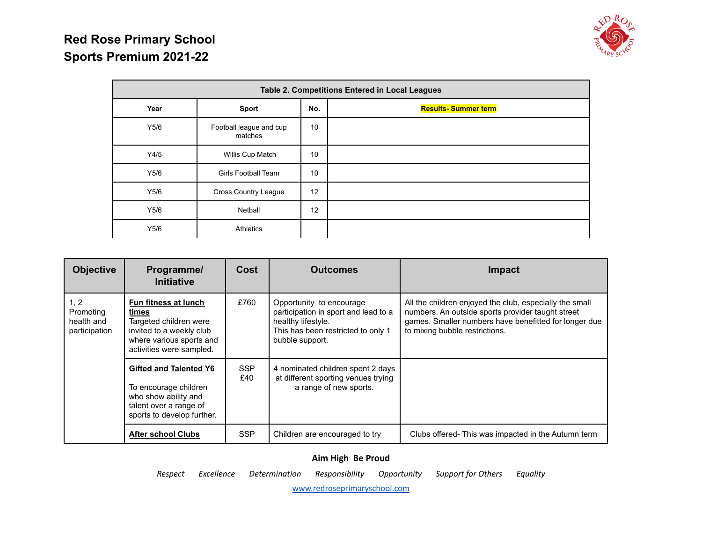

| Table 2. Competitions Entered in Local Leagues |                                    |                   |                            |  |  |  |  |
|------------------------------------------------|------------------------------------|-------------------|----------------------------|--|--|--|--|
| Year                                           | <b>Sport</b>                       | No.               | <b>Results-Summer term</b> |  |  |  |  |
| Y5/6                                           | Football league and cup<br>matches | 10                |                            |  |  |  |  |
| Y4/5                                           | Willis Cup Match                   | 10                |                            |  |  |  |  |
| Y5/6                                           | <b>Girls Football Team</b>         | 10                |                            |  |  |  |  |
| Y5/6                                           | <b>Cross Country League</b>        | $12 \overline{ }$ |                            |  |  |  |  |
| Y5/6                                           | Netball                            | 12                |                            |  |  |  |  |
| Y5/6                                           | <b>Athletics</b>                   |                   |                            |  |  |  |  |

| <b>Objective</b>                                 | Programme/<br>Initiative                                                                                                                    | Cost              | <b>Outcomes</b>                                                                                                                                 | Impact                                                                                                                                                                                                  |
|--------------------------------------------------|---------------------------------------------------------------------------------------------------------------------------------------------|-------------------|-------------------------------------------------------------------------------------------------------------------------------------------------|---------------------------------------------------------------------------------------------------------------------------------------------------------------------------------------------------------|
| 1, 2<br>Promoting<br>health and<br>participation | Fun fitness at lunch<br>times<br>Targeted children were<br>invited to a weekly club<br>where various sports and<br>activities were sampled. | £760              | Opportunity to encourage<br>participation in sport and lead to a<br>healthy lifestyle.<br>This has been restricted to only 1<br>bubble support. | All the children enjoyed the club, especially the small<br>numbers. An outside sports provider taught street<br>games. Smaller numbers have benefitted for longer due<br>to mixing bubble restrictions. |
|                                                  | <b>Gifted and Talented Y6</b><br>To encourage children<br>who show ability and<br>talent over a range of<br>sports to develop further.      | <b>SSP</b><br>£40 | 4 nominated children spent 2 days<br>at different sporting venues trying<br>a range of new sports.                                              |                                                                                                                                                                                                         |
|                                                  | <b>After school Clubs</b>                                                                                                                   | <b>SSP</b>        | Children are encouraged to try                                                                                                                  | Clubs offered-This was impacted in the Autumn term                                                                                                                                                      |

**Aim High Be Proud**

*Respect Excellence Determination Responsibility Opportunity Support for Others Equality*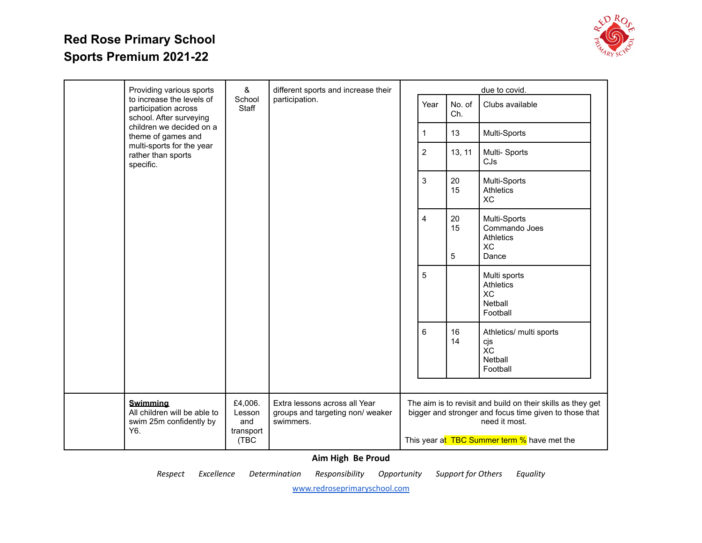

|  | Providing various sports                                                                                       | &                                             | different sports and increase their                                            |                |              |                                 | due to covid.                                                                                                                                                                         |
|--|----------------------------------------------------------------------------------------------------------------|-----------------------------------------------|--------------------------------------------------------------------------------|----------------|--------------|---------------------------------|---------------------------------------------------------------------------------------------------------------------------------------------------------------------------------------|
|  | to increase the levels of<br>participation across<br>school. After surveying                                   | School<br>Staff                               | participation.                                                                 |                | Year         | No. of<br>Ch.                   | Clubs available                                                                                                                                                                       |
|  | children we decided on a<br>theme of games and<br>multi-sports for the year<br>rather than sports<br>specific. |                                               |                                                                                |                | $\mathbf{1}$ | 13                              | Multi-Sports                                                                                                                                                                          |
|  |                                                                                                                |                                               |                                                                                | $\overline{2}$ | 13, 11       | Multi-Sports<br>CJs             |                                                                                                                                                                                       |
|  |                                                                                                                |                                               |                                                                                | 3              | 20<br>15     | Multi-Sports<br>Athletics<br>XC |                                                                                                                                                                                       |
|  |                                                                                                                |                                               |                                                                                |                | 4            | 20<br>15<br>5                   | Multi-Sports<br>Commando Joes<br><b>Athletics</b><br>XC<br>Dance                                                                                                                      |
|  |                                                                                                                |                                               |                                                                                |                | 5            |                                 | Multi sports<br><b>Athletics</b><br><b>XC</b><br>Netball<br>Football                                                                                                                  |
|  |                                                                                                                |                                               |                                                                                |                | 6            | 16<br>14                        | Athletics/ multi sports<br>cjs<br>ХC<br>Netball<br>Football                                                                                                                           |
|  | <b>Swimming</b><br>All children will be able to<br>swim 25m confidently by<br>Y6.                              | £4,006.<br>Lesson<br>and<br>transport<br>(TBC | Extra lessons across all Year<br>groups and targeting non/ weaker<br>swimmers. |                |              |                                 | The aim is to revisit and build on their skills as they get<br>bigger and stronger and focus time given to those that<br>need it most.<br>This year at TBC Summer term % have met the |

**Aim High Be Proud**

*Respect Excellence Determination Responsibility Opportunity Support for Others Equality*